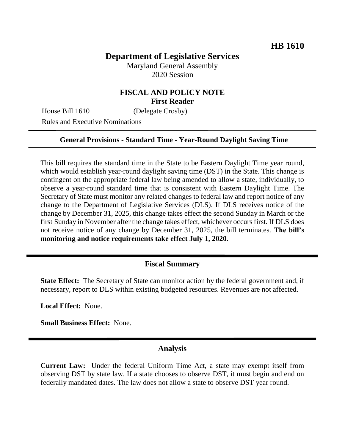# **Department of Legislative Services**

Maryland General Assembly 2020 Session

## **FISCAL AND POLICY NOTE First Reader**

House Bill 1610 (Delegate Crosby)

Rules and Executive Nominations

#### **General Provisions - Standard Time - Year-Round Daylight Saving Time**

This bill requires the standard time in the State to be Eastern Daylight Time year round, which would establish year-round daylight saving time (DST) in the State. This change is contingent on the appropriate federal law being amended to allow a state, individually, to observe a year-round standard time that is consistent with Eastern Daylight Time. The Secretary of State must monitor any related changes to federal law and report notice of any change to the Department of Legislative Services (DLS). If DLS receives notice of the change by December 31, 2025, this change takes effect the second Sunday in March or the first Sunday in November after the change takes effect, whichever occurs first. If DLS does not receive notice of any change by December 31, 2025, the bill terminates. **The bill's monitoring and notice requirements take effect July 1, 2020.**

## **Fiscal Summary**

**State Effect:** The Secretary of State can monitor action by the federal government and, if necessary, report to DLS within existing budgeted resources. Revenues are not affected.

**Local Effect:** None.

**Small Business Effect:** None.

### **Analysis**

**Current Law:** Under the federal Uniform Time Act, a state may exempt itself from observing DST by state law. If a state chooses to observe DST, it must begin and end on federally mandated dates. The law does not allow a state to observe DST year round.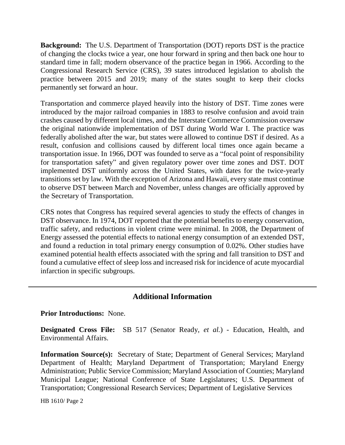**Background:** The U.S. Department of Transportation (DOT) reports DST is the practice of changing the clocks twice a year, one hour forward in spring and then back one hour to standard time in fall; modern observance of the practice began in 1966. According to the Congressional Research Service (CRS), 39 states introduced legislation to abolish the practice between 2015 and 2019; many of the states sought to keep their clocks permanently set forward an hour.

Transportation and commerce played heavily into the history of DST. Time zones were introduced by the major railroad companies in 1883 to resolve confusion and avoid train crashes caused by different local times, and the Interstate Commerce Commission oversaw the original nationwide implementation of DST during World War I. The practice was federally abolished after the war, but states were allowed to continue DST if desired. As a result, confusion and collisions caused by different local times once again became a transportation issue. In 1966, DOT was founded to serve as a "focal point of responsibility for transportation safety" and given regulatory power over time zones and DST. DOT implemented DST uniformly across the United States, with dates for the twice-yearly transitions set by law. With the exception of Arizona and Hawaii, every state must continue to observe DST between March and November, unless changes are officially approved by the Secretary of Transportation.

CRS notes that Congress has required several agencies to study the effects of changes in DST observance. In 1974, DOT reported that the potential benefits to energy conservation, traffic safety, and reductions in violent crime were minimal. In 2008, the Department of Energy assessed the potential effects to national energy consumption of an extended DST, and found a reduction in total primary energy consumption of 0.02%. Other studies have examined potential health effects associated with the spring and fall transition to DST and found a cumulative effect of sleep loss and increased risk for incidence of acute myocardial infarction in specific subgroups.

## **Additional Information**

#### **Prior Introductions:** None.

**Designated Cross File:** SB 517 (Senator Ready, *et al.*) - Education, Health, and Environmental Affairs.

**Information Source(s):** Secretary of State; Department of General Services; Maryland Department of Health; Maryland Department of Transportation; Maryland Energy Administration; Public Service Commission; Maryland Association of Counties; Maryland Municipal League; National Conference of State Legislatures; U.S. Department of Transportation; Congressional Research Services; Department of Legislative Services

HB 1610/ Page 2